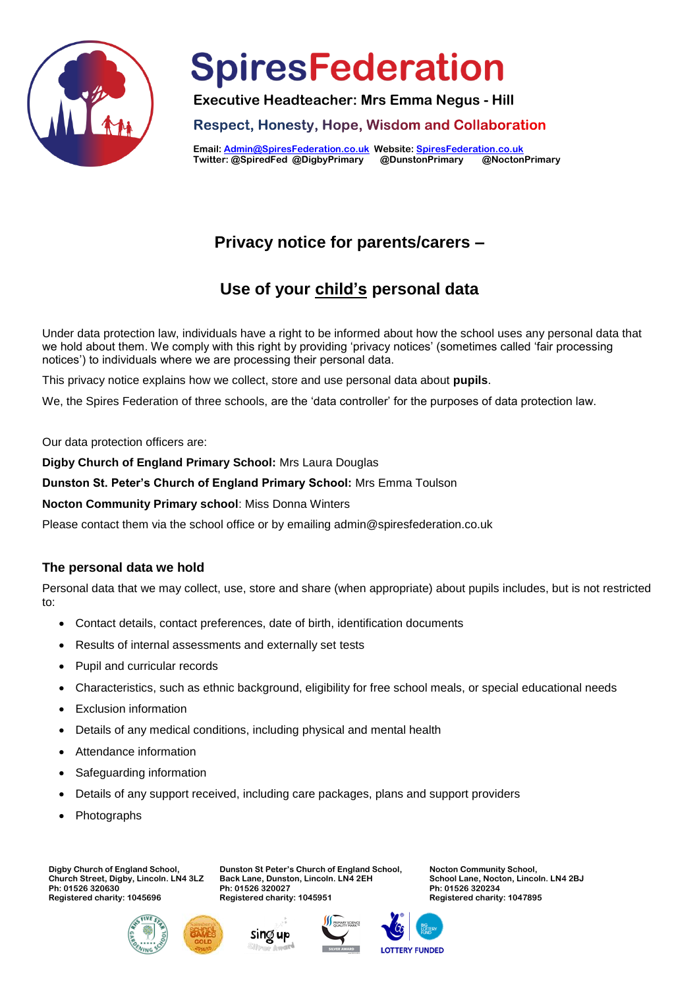

**Executive Headteacher: Mrs Emma Negus - Hill**

**Respect, Honesty, Hope, Wisdom and Collaboration** 

**Email[: Admin@SpiresFederation.co.uk](mailto:Admin@SpiresFederation.co.uk) Website[: SpiresFederation.co.uk](http://www.spiresfederation.co.uk/) Twitter: @SpiredFed @DigbyPrimary @DunstonPrimary @NoctonPrimary**

# **Privacy notice for parents/carers –**

# **Use of your child's personal data**

Under data protection law, individuals have a right to be informed about how the school uses any personal data that we hold about them. We comply with this right by providing 'privacy notices' (sometimes called 'fair processing notices') to individuals where we are processing their personal data.

This privacy notice explains how we collect, store and use personal data about **pupils**.

We, the Spires Federation of three schools, are the 'data controller' for the purposes of data protection law.

Our data protection officers are:

**Digby Church of England Primary School:** Mrs Laura Douglas

**Dunston St. Peter's Church of England Primary School:** Mrs Emma Toulson

**Nocton Community Primary school**: Miss Donna Winters

Please contact them via the school office or by emailing admin@spiresfederation.co.uk

### **The personal data we hold**

Personal data that we may collect, use, store and share (when appropriate) about pupils includes, but is not restricted to:

- Contact details, contact preferences, date of birth, identification documents
- Results of internal assessments and externally set tests
- Pupil and curricular records
- Characteristics, such as ethnic background, eligibility for free school meals, or special educational needs
- Exclusion information
- Details of any medical conditions, including physical and mental health

**Ph: 01526 320027 Registered charity: 1045951** 

- Attendance information
- Safeguarding information
- Details of any support received, including care packages, plans and support providers

**Dunston St Peter's Church of England School, Back Lane, Dunston, Lincoln. LN4 2EH**

Photographs

**Digby Church of England School, Church Street, Digby, Lincoln. LN4 3LZ Ph: 01526 320630 Registered charity: 1045696**







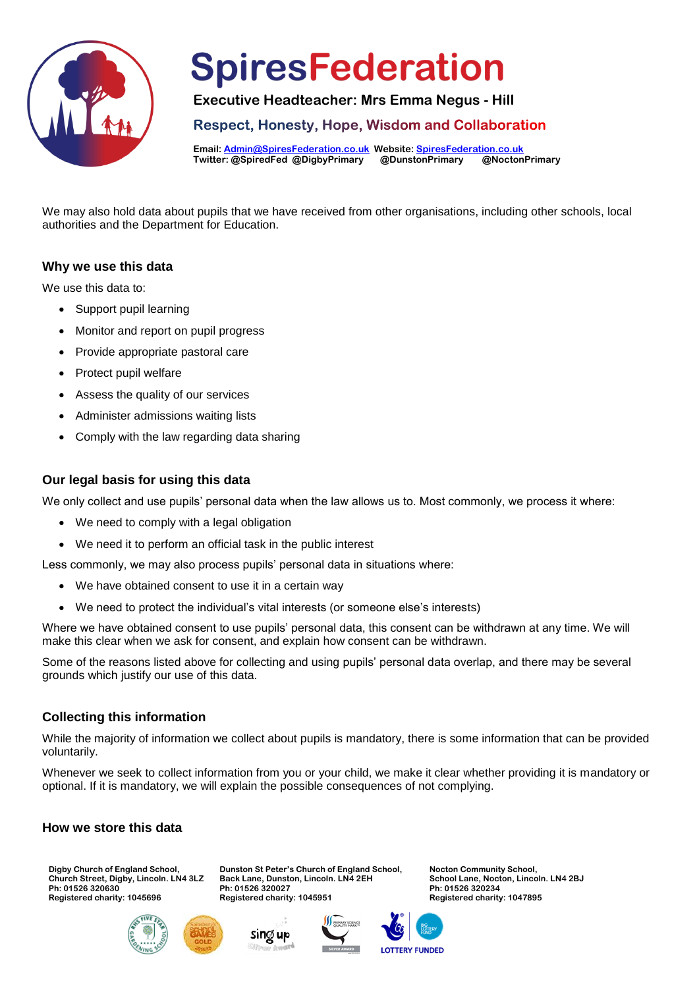

**Executive Headteacher: Mrs Emma Negus - Hill**

**Respect, Honesty, Hope, Wisdom and Collaboration** 

**Email[: Admin@SpiresFederation.co.uk](mailto:Admin@SpiresFederation.co.uk) Website[: SpiresFederation.co.uk](http://www.spiresfederation.co.uk/) Twitter: @SpiredFed @DigbyPrimary @DunstonPrimary @NoctonPrimary**

We may also hold data about pupils that we have received from other organisations, including other schools, local authorities and the Department for Education.

### **Why we use this data**

We use this data to:

- Support pupil learning
- Monitor and report on pupil progress
- Provide appropriate pastoral care
- Protect pupil welfare
- Assess the quality of our services
- Administer admissions waiting lists
- Comply with the law regarding data sharing

### **Our legal basis for using this data**

We only collect and use pupils' personal data when the law allows us to. Most commonly, we process it where:

- We need to comply with a legal obligation
- We need it to perform an official task in the public interest

Less commonly, we may also process pupils' personal data in situations where:

- We have obtained consent to use it in a certain way
- We need to protect the individual's vital interests (or someone else's interests)

Where we have obtained consent to use pupils' personal data, this consent can be withdrawn at any time. We will make this clear when we ask for consent, and explain how consent can be withdrawn.

Some of the reasons listed above for collecting and using pupils' personal data overlap, and there may be several grounds which justify our use of this data.

### **Collecting this information**

While the majority of information we collect about pupils is mandatory, there is some information that can be provided voluntarily.

Whenever we seek to collect information from you or your child, we make it clear whether providing it is mandatory or optional. If it is mandatory, we will explain the possible consequences of not complying.

### **How we store this data**

**Digby Church of England School, Church Street, Digby, Lincoln. LN4 3LZ Ph: 01526 320630 Registered charity: 1045696**





Sing up

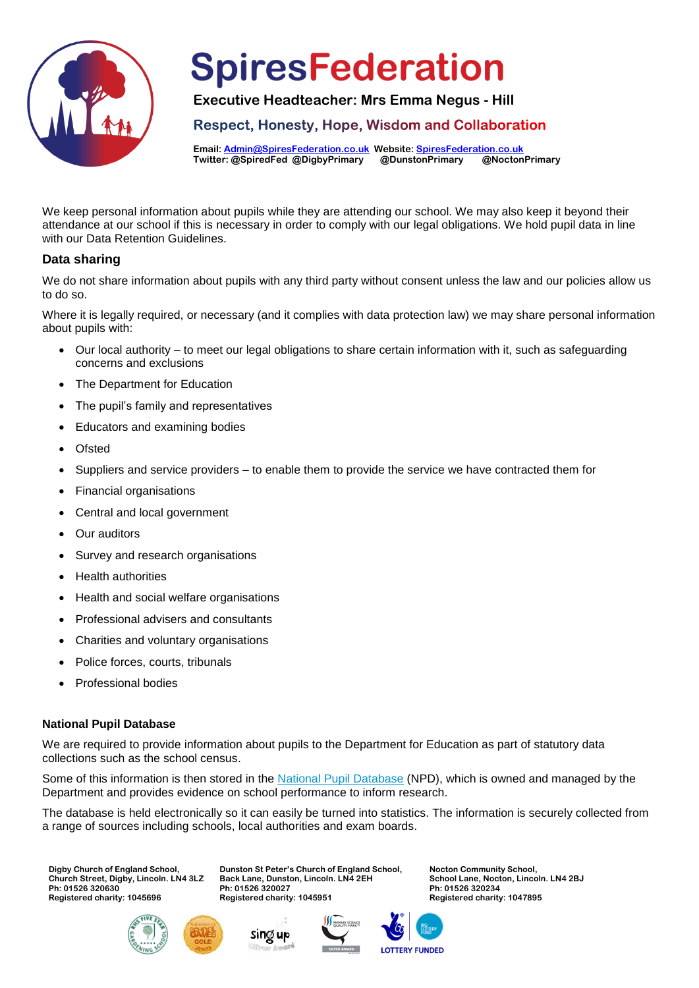

**Executive Headteacher: Mrs Emma Negus - Hill**

**Respect, Honesty, Hope, Wisdom and Collaboration** 

**Email[: Admin@SpiresFederation.co.uk](mailto:Admin@SpiresFederation.co.uk) Website[: SpiresFederation.co.uk](http://www.spiresfederation.co.uk/) Twitter: @SpiredFed @DigbyPrimary @DunstonPrimary @NoctonPrimary**

We keep personal information about pupils while they are attending our school. We may also keep it beyond their attendance at our school if this is necessary in order to comply with our legal obligations. We hold pupil data in line with our Data Retention Guidelines.

### **Data sharing**

We do not share information about pupils with any third party without consent unless the law and our policies allow us to do so.

Where it is legally required, or necessary (and it complies with data protection law) we may share personal information about pupils with:

- Our local authority to meet our legal obligations to share certain information with it, such as safeguarding concerns and exclusions
- The Department for Education
- The pupil's family and representatives
- Educators and examining bodies
- **Ofsted**
- Suppliers and service providers to enable them to provide the service we have contracted them for
- Financial organisations
- Central and local government
- Our auditors
- Survey and research organisations
- Health authorities
- Health and social welfare organisations
- Professional advisers and consultants
- Charities and voluntary organisations
- Police forces, courts, tribunals
- Professional bodies

### **National Pupil Database**

We are required to provide information about pupils to the Department for Education as part of statutory data collections such as the school census.

> **Dunston St Peter's Church of England School, Back Lane, Dunston, Lincoln. LN4 2EH**

Some of this information is then stored in the [National Pupil Database](https://www.gov.uk/government/publications/national-pupil-database-user-guide-and-supporting-information) (NPD), which is owned and managed by the Department and provides evidence on school performance to inform research.

The database is held electronically so it can easily be turned into statistics. The information is securely collected from a range of sources including schools, local authorities and exam boards.

**Digby Church of England School, Church Street, Digby, Lincoln. LN4 3LZ Ph: 01526 320630 Registered charity: 1045696**







**Ph: 01526 320027 Registered charity: 1045951** 



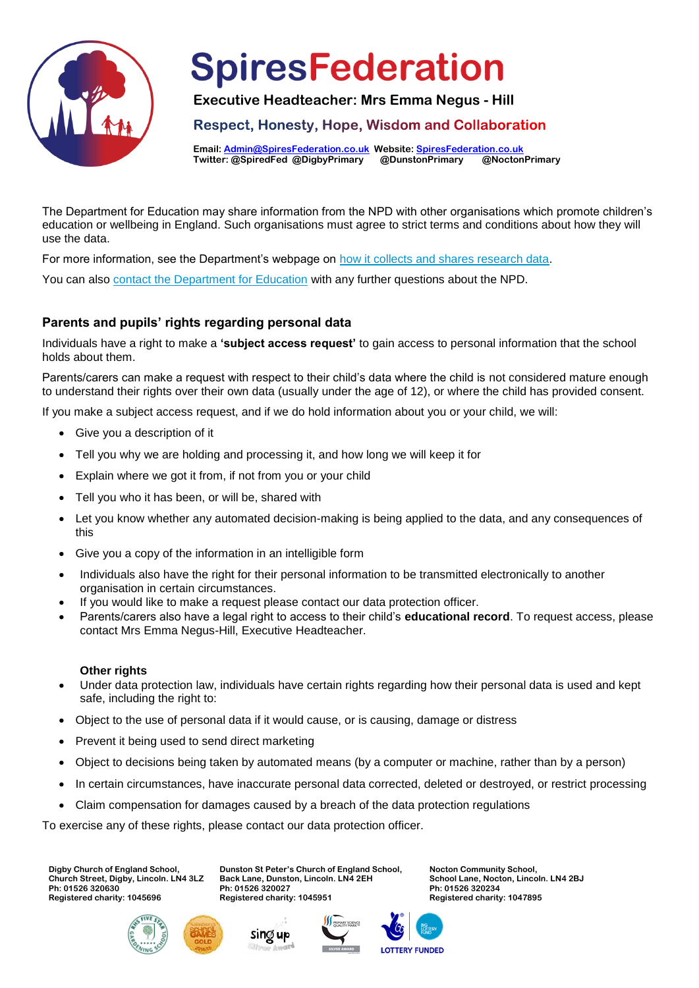

**Executive Headteacher: Mrs Emma Negus - Hill**

**Respect, Honesty, Hope, Wisdom and Collaboration** 

**Email[: Admin@SpiresFederation.co.uk](mailto:Admin@SpiresFederation.co.uk) Website[: SpiresFederation.co.uk](http://www.spiresfederation.co.uk/) Twitter: @SpiredFed @DigbyPrimary @DunstonPrimary @NoctonPrimary**

The Department for Education may share information from the NPD with other organisations which promote children's education or wellbeing in England. Such organisations must agree to strict terms and conditions about how they will use the data.

For more information, see the Department's webpage on [how it collects and shares research data.](https://www.gov.uk/data-protection-how-we-collect-and-share-research-data)

You can also [contact the Department for Education](https://www.gov.uk/contact-dfe) with any further questions about the NPD.

## **Parents and pupils' rights regarding personal data**

Individuals have a right to make a **'subject access request'** to gain access to personal information that the school holds about them.

Parents/carers can make a request with respect to their child's data where the child is not considered mature enough to understand their rights over their own data (usually under the age of 12), or where the child has provided consent.

If you make a subject access request, and if we do hold information about you or your child, we will:

- Give you a description of it
- Tell you why we are holding and processing it, and how long we will keep it for
- Explain where we got it from, if not from you or your child
- Tell you who it has been, or will be, shared with
- Let you know whether any automated decision-making is being applied to the data, and any consequences of this
- Give you a copy of the information in an intelligible form
- Individuals also have the right for their personal information to be transmitted electronically to another organisation in certain circumstances.
- If you would like to make a request please contact our data protection officer.
- Parents/carers also have a legal right to access to their child's **educational record**. To request access, please contact Mrs Emma Negus-Hill, Executive Headteacher.

#### **Other rights**

- Under data protection law, individuals have certain rights regarding how their personal data is used and kept safe, including the right to:
- Object to the use of personal data if it would cause, or is causing, damage or distress
- Prevent it being used to send direct marketing
- Object to decisions being taken by automated means (by a computer or machine, rather than by a person)
- In certain circumstances, have inaccurate personal data corrected, deleted or destroyed, or restrict processing
- Claim compensation for damages caused by a breach of the data protection regulations

To exercise any of these rights, please contact our data protection officer.

**Digby Church of England School, Church Street, Digby, Lincoln. LN4 3LZ Ph: 01526 320630 Registered charity: 1045696**





Sing up

**Dunston St Peter's Church of England School,**